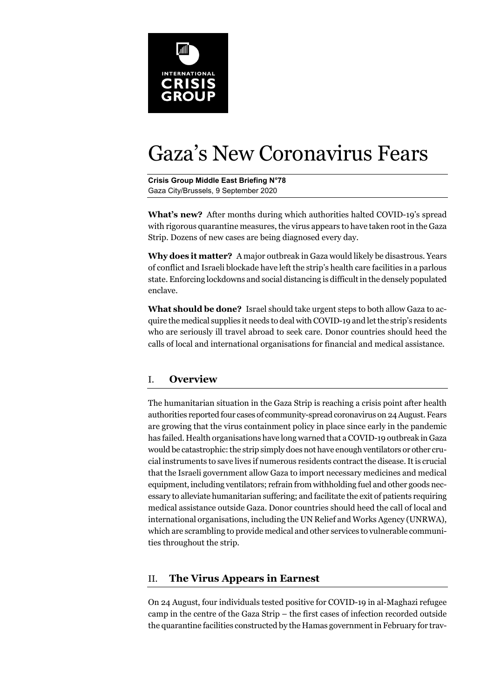

# Gaza's New Coronavirus Fears

**Crisis Group Middle East Briefing N°78**  Gaza City/Brussels, 9 September 2020

**What's new?** After months during which authorities halted COVID-19's spread with rigorous quarantine measures, the virus appears to have taken root in the Gaza Strip. Dozens of new cases are being diagnosed every day.

**Why does it matter?** A major outbreak in Gaza would likely be disastrous. Years of conflict and Israeli blockade have left the strip's health care facilities in a parlous state. Enforcing lockdowns and social distancing is difficult in the densely populated enclave.

**What should be done?** Israel should take urgent steps to both allow Gaza to acquire the medical supplies it needs to deal with COVID-19 and let the strip's residents who are seriously ill travel abroad to seek care. Donor countries should heed the calls of local and international organisations for financial and medical assistance.

## I. **Overview**

The humanitarian situation in the Gaza Strip is reaching a crisis point after health authorities reported four cases of community-spread coronavirus on 24 August. Fears are growing that the virus containment policy in place since early in the pandemic has failed. Health organisations have long warned that a COVID-19 outbreak in Gaza would be catastrophic: the strip simply does not have enough ventilators or other crucial instruments to save lives if numerous residents contract the disease. It is crucial that the Israeli government allow Gaza to import necessary medicines and medical equipment, including ventilators; refrain from withholding fuel and other goods necessary to alleviate humanitarian suffering; and facilitate the exit of patients requiring medical assistance outside Gaza. Donor countries should heed the call of local and international organisations, including the UN Relief and Works Agency (UNRWA), which are scrambling to provide medical and other services to vulnerable communities throughout the strip.

## II. **The Virus Appears in Earnest**

On 24 August, four individuals tested positive for COVID-19 in al-Maghazi refugee camp in the centre of the Gaza Strip – the first cases of infection recorded outside the quarantine facilities constructed by the Hamas government in February for trav-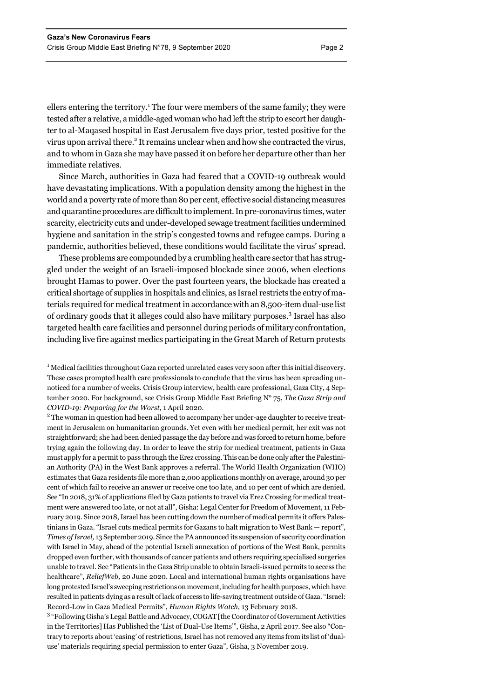ellers entering the territory.<sup>1</sup> The four were members of the same family; they were tested after a relative, a middle-aged woman who had left the strip to escort her daughter to al-Maqased hospital in East Jerusalem five days prior, tested positive for the virus upon arrival there.<sup>2</sup> It remains unclear when and how she contracted the virus, and to whom in Gaza she may have passed it on before her departure other than her immediate relatives.

Since March, authorities in Gaza had feared that a COVID-19 outbreak would have devastating implications. With a population density among the highest in the world and a poverty rate of more than 80 per cent, effective social distancing measures and quarantine procedures are difficult to implement. In pre-coronavirus times, water scarcity, electricity cuts and under-developed sewage treatment facilities undermined hygiene and sanitation in the strip's congested towns and refugee camps. During a pandemic, authorities believed, these conditions would facilitate the virus' spread.

These problems are compounded by a crumbling health care sector that has struggled under the weight of an Israeli-imposed blockade since 2006, when elections brought Hamas to power. Over the past fourteen years, the blockade has created a critical shortage of supplies in hospitals and clinics, as Israel restricts the entry of materials required for medical treatment in accordance with an 8,500-item dual-use list of ordinary goods that it alleges could also have military purposes.<sup>3</sup> Israel has also targeted health care facilities and personnel during periods of military confrontation, including live fire against medics participating in the Great March of Return protests

<sup>2</sup> The woman in question had been allowed to accompany her under-age daughter to receive treatment in Jerusalem on humanitarian grounds. Yet even with her medical permit, her exit was not straightforward; she had been denied passage the day before and was forced to return home, before trying again the following day. In order to leave the strip for medical treatment, patients in Gaza must apply for a permit to pass through the Erez crossing. This can be done only after the Palestinian Authority (PA) in the West Bank approves a referral. The World Health Organization (WHO) estimates that Gaza residents file more than 2,000 applications monthly on average, around 30 per cent of which fail to receive an answer or receive one too late, and 10 per cent of which are denied. See "In 2018, 31% of applications filed by Gaza patients to travel via Erez Crossing for medical treatment were answered too late, or not at all", Gisha: Legal Center for Freedom of Movement, 11 February 2019. Since 2018, Israel has been cutting down the number of medical permits it offers Palestinians in Gaza. "Israel cuts medical permits for Gazans to halt migration to West Bank — report", *Times of Israel,* 13 September 2019. Since the PA announced its suspension of security coordination with Israel in May, ahead of the potential Israeli annexation of portions of the West Bank, permits dropped even further, with thousands of cancer patients and others requiring specialised surgeries unable to travel. See "Patients in the Gaza Strip unable to obtain Israeli-issued permits to access the healthcare", *ReliefWeb,* 20 June 2020. Local and international human rights organisations have long protested Israel's sweeping restrictions on movement, including for health purposes, which have resulted in patients dying as a result of lack of access to life-saving treatment outside of Gaza. "Israel: Record-Low in Gaza Medical Permits", *Human Rights Watch,* 13 February 2018.

<sup>3</sup> "Following Gisha's Legal Battle and Advocacy, COGAT [the Coordinator of Government Activities in the Territories] Has Published the 'List of Dual-Use Items'", Gisha, 2 April 2017. See also "Contrary to reports about 'easing' of restrictions, Israel has not removed any items from its list of 'dualuse' materials requiring special permission to enter Gaza", Gisha, 3 November 2019.

 $^{\rm 1}$  Medical facilities throughout Gaza reported unrelated cases very soon after this initial discovery. These cases prompted health care professionals to conclude that the virus has been spreading unnoticed for a number of weeks. Crisis Group interview, health care professional, Gaza City, 4 September 2020. For background, see Crisis Group Middle East Briefing N° 75, *The Gaza Strip and COVID-19: Preparing for the Worst*, 1 April 2020. 2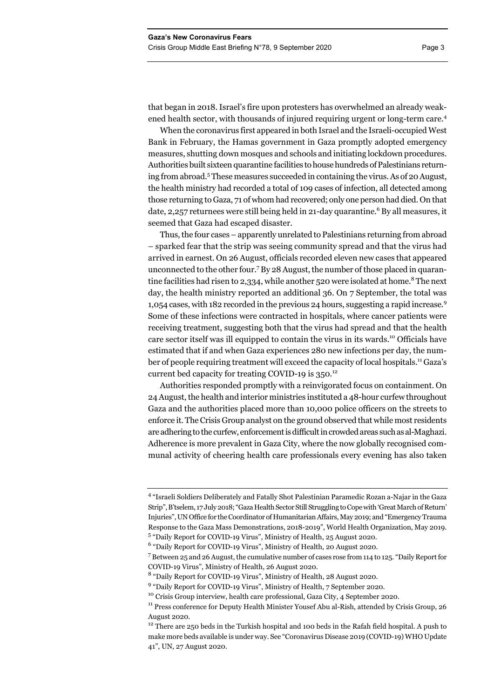that began in 2018. Israel's fire upon protesters has overwhelmed an already weakened health sector, with thousands of injured requiring urgent or long-term care.<sup>4</sup>

When the coronavirus first appeared in both Israel and the Israeli-occupied West Bank in February, the Hamas government in Gaza promptly adopted emergency measures, shutting down mosques and schools and initiating lockdown procedures. Authorities built sixteen quarantine facilities to house hundreds of Palestinians returning from abroad.5 These measures succeeded in containing the virus. As of 20 August, the health ministry had recorded a total of 109 cases of infection, all detected among those returning to Gaza, 71 of whom had recovered; only one person had died. On that date, 2,257 returnees were still being held in 21-day quarantine.<sup>6</sup> By all measures, it seemed that Gaza had escaped disaster.

Thus, the four cases – apparently unrelated to Palestinians returning from abroad – sparked fear that the strip was seeing community spread and that the virus had arrived in earnest. On 26 August, officials recorded eleven new cases that appeared unconnected to the other four.<sup>7</sup> By 28 August, the number of those placed in quarantine facilities had risen to 2,334, while another 520 were isolated at home.<sup>8</sup> The next day, the health ministry reported an additional 36. On 7 September, the total was 1,054 cases, with 182 recorded in the previous 24 hours, suggesting a rapid increase.<sup>9</sup> Some of these infections were contracted in hospitals, where cancer patients were receiving treatment, suggesting both that the virus had spread and that the health care sector itself was ill equipped to contain the virus in its wards.10 Officials have estimated that if and when Gaza experiences 280 new infections per day, the number of people requiring treatment will exceed the capacity of local hospitals.11 Gaza's current bed capacity for treating COVID-19 is  $350.<sup>12</sup>$ 

Authorities responded promptly with a reinvigorated focus on containment. On 24 August, the health and interior ministries instituted a 48-hour curfew throughout Gaza and the authorities placed more than 10,000 police officers on the streets to enforce it. The Crisis Group analyst on the ground observed that while most residents are adhering to the curfew, enforcement is difficult in crowded areas such as al-Maghazi. Adherence is more prevalent in Gaza City, where the now globally recognised communal activity of cheering health care professionals every evening has also taken

<sup>&</sup>lt;sup>4</sup> "Israeli Soldiers Deliberately and Fatally Shot Palestinian Paramedic Rozan a-Najar in the Gaza Strip", B'tselem, 17 July 2018; "Gaza Health Sector Still Struggling to Cope with 'Great March of Return' Injuries", UN Office for the Coordinator of Humanitarian Affairs, May 2019; and "Emergency Trauma Response to the Gaza Mass Demonstrations, 2018-2019", World Health Organization, May 2019. <sup>5</sup> "Daily Report for COVID-19 Virus", Ministry of Health, 25 August 2020.

<sup>&</sup>lt;sup>6</sup> "Daily Report for COVID-19 Virus", Ministry of Health, 20 August 2020.

 $^7$  Between 25 and 26 August, the cumulative number of cases rose from 114 to 125. "Daily Report for COVID-19 Virus", Ministry of Health, 26 August 2020.

<sup>&</sup>lt;sup>8</sup> "Daily Report for COVID-19 Virus", Ministry of Health, 28 August 2020.

<sup>&</sup>lt;sup>9</sup> "Daily Report for COVID-19 Virus", Ministry of Health, 7 September 2020.

 $^{10}$  Crisis Group interview, health care professional, Gaza City, 4 September 2020.<br> $^{11}$  Press conference for Deputy Health Minister Yousef Abu al-Rish, attended by Crisis Group, 26 August 2020.

<sup>&</sup>lt;sup>12</sup> There are 250 beds in the Turkish hospital and 100 beds in the Rafah field hospital. A push to make more beds available is under way. See "Coronavirus Disease 2019 (COVID-19) WHO Update 41", UN, 27 August 2020.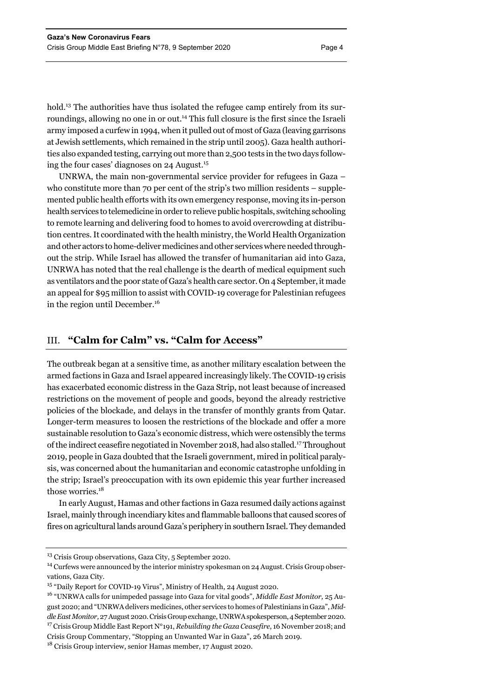hold.<sup>13</sup> The authorities have thus isolated the refugee camp entirely from its surroundings, allowing no one in or out.<sup>14</sup> This full closure is the first since the Israeli army imposed a curfew in 1994, when it pulled out of most of Gaza (leaving garrisons at Jewish settlements, which remained in the strip until 2005). Gaza health authorities also expanded testing, carrying out more than 2,500 tests in the two days following the four cases' diagnoses on 24 August.15

UNRWA, the main non-governmental service provider for refugees in Gaza – who constitute more than 70 per cent of the strip's two million residents – supplemented public health efforts with its own emergency response, moving its in-person health services to telemedicine in order to relieve public hospitals, switching schooling to remote learning and delivering food to homes to avoid overcrowding at distribution centres. It coordinated with the health ministry, the World Health Organization and other actors to home-deliver medicines and other services where needed throughout the strip. While Israel has allowed the transfer of humanitarian aid into Gaza, UNRWA has noted that the real challenge is the dearth of medical equipment such as ventilators and the poor state of Gaza's health care sector. On 4 September, it made an appeal for \$95 million to assist with COVID-19 coverage for Palestinian refugees in the region until December.<sup>16</sup>

#### III. **"Calm for Calm" vs. "Calm for Access"**

The outbreak began at a sensitive time, as another military escalation between the armed factions in Gaza and Israel appeared increasingly likely. The COVID-19 crisis has exacerbated economic distress in the Gaza Strip, not least because of increased restrictions on the movement of people and goods, beyond the already restrictive policies of the blockade, and delays in the transfer of monthly grants from Qatar. Longer-term measures to loosen the restrictions of the blockade and offer a more sustainable resolution to Gaza's economic distress, which were ostensibly the terms of the indirect ceasefire negotiated in November 2018, had also stalled.17 Throughout 2019, people in Gaza doubted that the Israeli government, mired in political paralysis, was concerned about the humanitarian and economic catastrophe unfolding in the strip; Israel's preoccupation with its own epidemic this year further increased those worries.<sup>18</sup>

In early August, Hamas and other factions in Gaza resumed daily actions against Israel, mainly through incendiary kites and flammable balloons that caused scores of fires on agricultural lands around Gaza's periphery in southern Israel. They demanded

<sup>&</sup>lt;sup>13</sup> Crisis Group observations, Gaza City, 5 September 2020.

<sup>&</sup>lt;sup>14</sup> Curfews were announced by the interior ministry spokesman on 24 August. Crisis Group observations, Gaza City.

<sup>&</sup>lt;sup>15</sup> "Daily Report for COVID-19 Virus", Ministry of Health, 24 August 2020.

<sup>16 &</sup>quot;UNRWA calls for unimpeded passage into Gaza for vital goods", *Middle East Monitor,* 25 August 2020; and "UNRWA delivers medicines, other services to homes of Palestinians in Gaza", *Middle East Monitor,* 27 August 2020. Crisis Group exchange, UNRWA spokesperson, 4 September 2020. 17 Crisis Group Middle East Report N°191, *Rebuilding the Gaza Ceasefire*, 16 November 2018; and Crisis Group Commentary, "Stopping an Unwanted War in Gaza", 26 March 2019.

<sup>&</sup>lt;sup>18</sup> Crisis Group interview, senior Hamas member, 17 August 2020.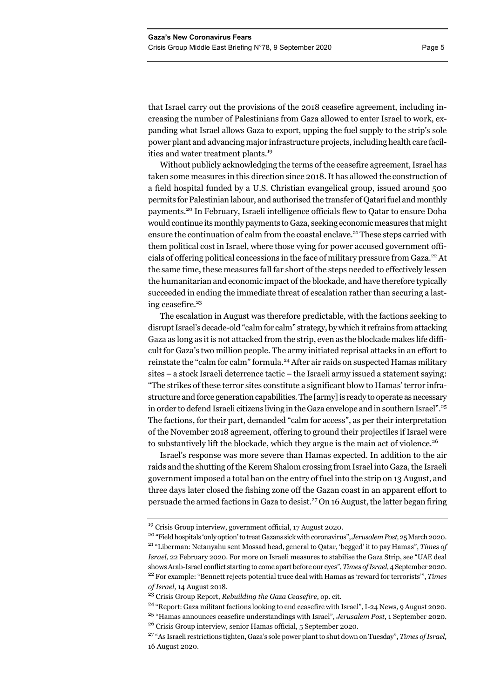that Israel carry out the provisions of the 2018 ceasefire agreement, including increasing the number of Palestinians from Gaza allowed to enter Israel to work, expanding what Israel allows Gaza to export, upping the fuel supply to the strip's sole power plant and advancing major infrastructure projects, including health care facilities and water treatment plants.<sup>19</sup>

Without publicly acknowledging the terms of the ceasefire agreement, Israel has taken some measures in this direction since 2018. It has allowed the construction of a field hospital funded by a U.S. Christian evangelical group, issued around 500 permits for Palestinian labour, and authorised the transfer of Qatari fuel and monthly payments.20 In February, Israeli intelligence officials flew to Qatar to ensure Doha would continue its monthly payments to Gaza, seeking economic measures that might ensure the continuation of calm from the coastal enclave.<sup>21</sup> These steps carried with them political cost in Israel, where those vying for power accused government officials of offering political concessions in the face of military pressure from Gaza.<sup>22</sup> At the same time, these measures fall far short of the steps needed to effectively lessen the humanitarian and economic impact of the blockade, and have therefore typically succeeded in ending the immediate threat of escalation rather than securing a lasting ceasefire. $23$ 

The escalation in August was therefore predictable, with the factions seeking to disrupt Israel's decade-old "calm for calm" strategy, by which it refrains from attacking Gaza as long as it is not attacked from the strip, even as the blockade makes life difficult for Gaza's two million people. The army initiated reprisal attacks in an effort to reinstate the "calm for calm" formula.<sup>24</sup> After air raids on suspected Hamas military sites – a stock Israeli deterrence tactic – the Israeli army issued a statement saying: "The strikes of these terror sites constitute a significant blow to Hamas' terror infrastructure and force generation capabilities. The [army] is ready to operate as necessary in order to defend Israeli citizens living in the Gaza envelope and in southern Israel".<sup>25</sup> The factions, for their part, demanded "calm for access", as per their interpretation of the November 2018 agreement, offering to ground their projectiles if Israel were to substantively lift the blockade, which they argue is the main act of violence.<sup>26</sup>

Israel's response was more severe than Hamas expected. In addition to the air raids and the shutting of the Kerem Shalom crossing from Israel into Gaza, the Israeli government imposed a total ban on the entry of fuel into the strip on 13 August, and three days later closed the fishing zone off the Gazan coast in an apparent effort to persuade the armed factions in Gaza to desist.<sup>27</sup> On 16 August, the latter began firing

<sup>&</sup>lt;sup>19</sup> Crisis Group interview, government official, 17 August 2020.<br><sup>20</sup> "Field hospitals 'only option' to treat Gazans sick with coronavirus", Jerusalem Post, 25 March 2020.<br><sup>21</sup> "Liberman: Netanyahu sent Mossad head, gene *Israel,* 22 February 2020. For more on Israeli measures to stabilise the Gaza Strip, see "UAE deal shows Arab-Israel conflict starting to come apart before our eyes", *Times of Israel,* 4 September 2020. 22 For example: "Bennett rejects potential truce deal with Hamas as 'reward for terrorists'", *Times of Israel,* 14 August 2018.

<sup>23</sup> Crisis Group Report, *Rebuilding the Gaza Ceasefire*, op. cit.

<sup>24 &</sup>quot;Report: Gaza militant factions looking to end ceasefire with Israel", I-24 News*,* 9 August 2020. 25 "Hamas announces ceasefire understandings with Israel", *Jerusalem Post,* 1 September 2020.

<sup>26</sup> Crisis Group interview, senior Hamas official, 5 September 2020.

<sup>27 &</sup>quot;As Israeli restrictions tighten, Gaza's sole power plant to shut down on Tuesday", *Times of Israel,*  16 August 2020.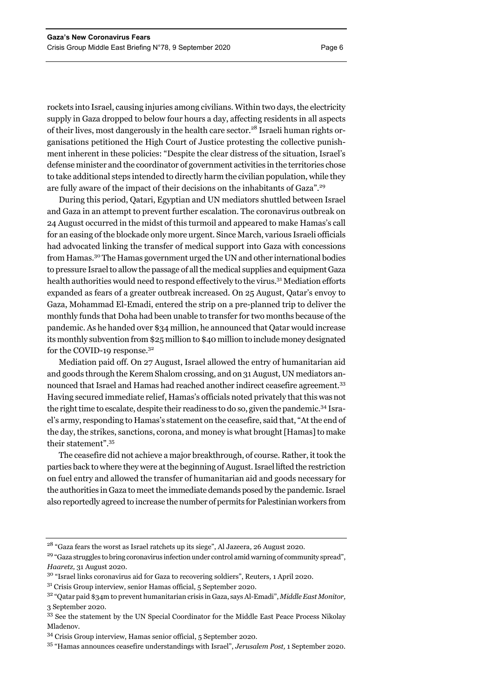rockets into Israel, causing injuries among civilians. Within two days, the electricity supply in Gaza dropped to below four hours a day, affecting residents in all aspects of their lives, most dangerously in the health care sector.28 Israeli human rights organisations petitioned the High Court of Justice protesting the collective punishment inherent in these policies: "Despite the clear distress of the situation, Israel's defense minister and the coordinator of government activities in the territories chose to take additional steps intended to directly harm the civilian population, while they are fully aware of the impact of their decisions on the inhabitants of Gaza".<sup>29</sup>

During this period, Qatari, Egyptian and UN mediators shuttled between Israel and Gaza in an attempt to prevent further escalation. The coronavirus outbreak on 24 August occurred in the midst of this turmoil and appeared to make Hamas's call for an easing of the blockade only more urgent. Since March, various Israeli officials had advocated linking the transfer of medical support into Gaza with concessions from Hamas.30 The Hamas government urged the UN and other international bodies to pressure Israel to allow the passage of all the medical supplies and equipment Gaza health authorities would need to respond effectively to the virus.31 Mediation efforts expanded as fears of a greater outbreak increased. On 25 August, Qatar's envoy to Gaza, Mohammad El-Emadi, entered the strip on a pre-planned trip to deliver the monthly funds that Doha had been unable to transfer for two months because of the pandemic. As he handed over \$34 million, he announced that Qatar would increase its monthly subvention from \$25 million to \$40 million to include money designated for the COVID-19 response.<sup>32</sup>

Mediation paid off. On 27 August, Israel allowed the entry of humanitarian aid and goods through the Kerem Shalom crossing, and on 31 August, UN mediators announced that Israel and Hamas had reached another indirect ceasefire agreement.<sup>33</sup> Having secured immediate relief, Hamas's officials noted privately that this was not the right time to escalate, despite their readiness to do so, given the pandemic.34 Israel's army, responding to Hamas's statement on the ceasefire, said that, "At the end of the day, the strikes, sanctions, corona, and money is what brought [Hamas] to make their statement".35

The ceasefire did not achieve a major breakthrough, of course. Rather, it took the parties back to where they were at the beginning of August. Israel lifted the restriction on fuel entry and allowed the transfer of humanitarian aid and goods necessary for the authorities in Gaza to meet the immediate demands posed by the pandemic. Israel also reportedly agreed to increase the number of permits for Palestinian workers from

<sup>28 &</sup>quot;Gaza fears the worst as Israel ratchets up its siege", Al Jazeera*,* 26 August 2020.

<sup>&</sup>lt;sup>29</sup> "Gaza struggles to bring coronavirus infection under control amid warning of community spread", *Haaretz,* 31 August 2020.

<sup>30 &</sup>quot;Israel links coronavirus aid for Gaza to recovering soldiers", Reuters*,* 1 April 2020.

 $31$  Crisis Group interview, senior Hamas official, 5 September 2020.

<sup>32 &</sup>quot;Qatar paid \$34m to prevent humanitarian crisis in Gaza, says Al-Emadi", *Middle East Monitor,*  3 September 2020.

<sup>&</sup>lt;sup>33</sup> See the statement by the UN Special Coordinator for the Middle East Peace Process Nikolay Mladenov.

<sup>34</sup> Crisis Group interview, Hamas senior official, 5 September 2020.

<sup>35 &</sup>quot;Hamas announces ceasefire understandings with Israel", *Jerusalem Post,* 1 September 2020.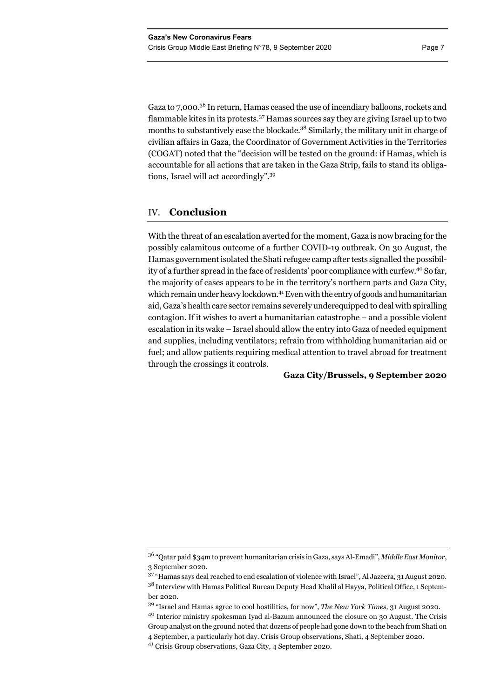Gaza to 7,000.<sup>36</sup> In return, Hamas ceased the use of incendiary balloons, rockets and flammable kites in its protests.<sup>37</sup> Hamas sources say they are giving Israel up to two months to substantively ease the blockade.<sup>38</sup> Similarly, the military unit in charge of civilian affairs in Gaza, the Coordinator of Government Activities in the Territories (COGAT) noted that the "decision will be tested on the ground: if Hamas, which is accountable for all actions that are taken in the Gaza Strip, fails to stand its obligations, Israel will act accordingly".39

### IV. **Conclusion**

With the threat of an escalation averted for the moment, Gaza is now bracing for the possibly calamitous outcome of a further COVID-19 outbreak. On 30 August, the Hamas government isolated the Shati refugee camp after tests signalled the possibility of a further spread in the face of residents' poor compliance with curfew.<sup>40</sup> So far, the majority of cases appears to be in the territory's northern parts and Gaza City, which remain under heavy lockdown.<sup>41</sup> Even with the entry of goods and humanitarian aid, Gaza's health care sector remains severely underequipped to deal with spiralling contagion. If it wishes to avert a humanitarian catastrophe – and a possible violent escalation in its wake – Israel should allow the entry into Gaza of needed equipment and supplies, including ventilators; refrain from withholding humanitarian aid or fuel; and allow patients requiring medical attention to travel abroad for treatment through the crossings it controls.

**Gaza City/Brussels, 9 September 2020** 

<sup>36 &</sup>quot;Qatar paid \$34m to prevent humanitarian crisis in Gaza, says Al-Emadi", *Middle East Monitor*, 3 September 2020.

<sup>37 &</sup>quot;Hamas says deal reached to end escalation of violence with Israel", Al Jazeera*,* 31 August 2020. <sup>38</sup> Interview with Hamas Political Bureau Deputy Head Khalil al Hayya, Political Office, 1 September 2020.

<sup>39 &</sup>quot;Israel and Hamas agree to cool hostilities, for now", *The New York Times,* 31 August 2020.

<sup>40</sup> Interior ministry spokesman Iyad al-Bazum announced the closure on 30 August. The Crisis Group analyst on the ground noted that dozens of people had gone down to the beach from Shati on 4 September, a particularly hot day. Crisis Group observations, Shati, 4 September 2020.

<sup>41</sup> Crisis Group observations, Gaza City, 4 September 2020.